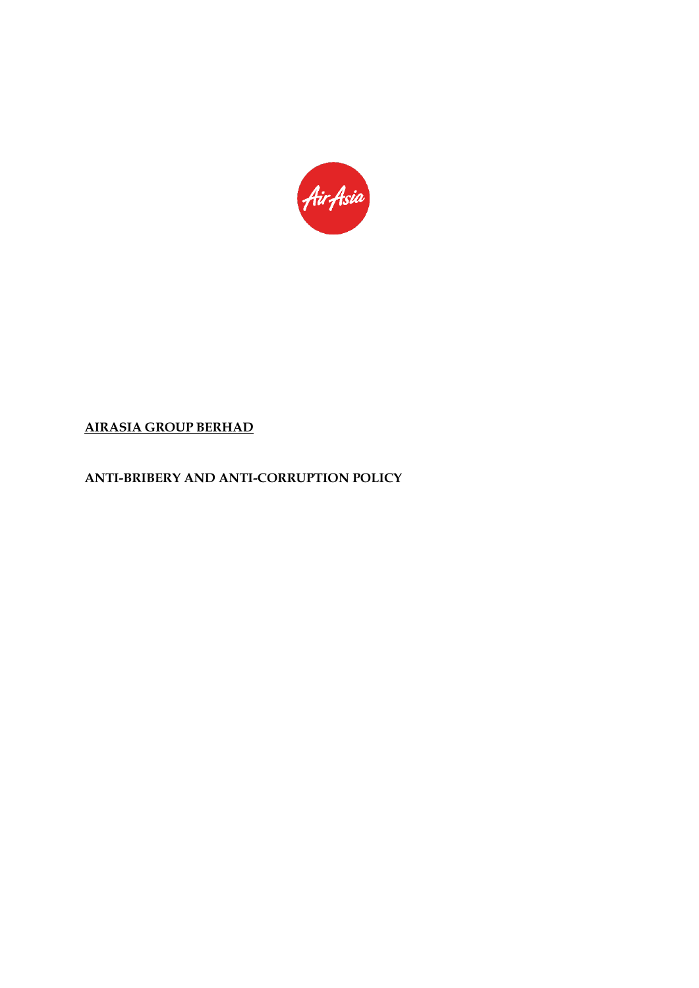

# **AIRASIA GROUP BERHAD**

**ANTI-BRIBERY AND ANTI-CORRUPTION POLICY**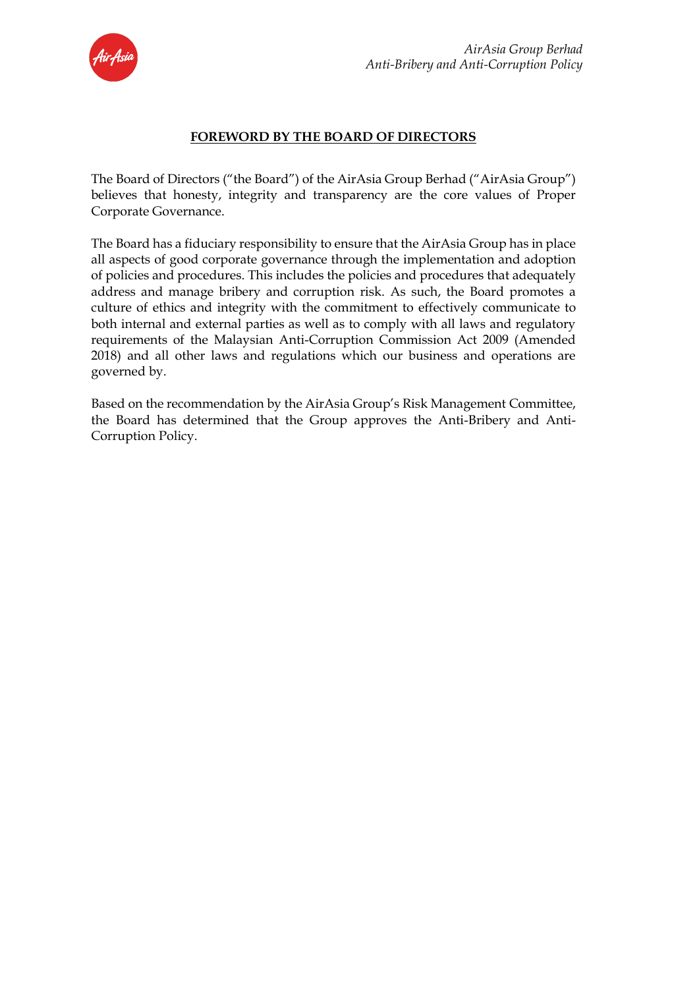

### **FOREWORD BY THE BOARD OF DIRECTORS**

The Board of Directors ("the Board") of the AirAsia Group Berhad ("AirAsia Group") believes that honesty, integrity and transparency are the core values of Proper Corporate Governance.

The Board has a fiduciary responsibility to ensure that the AirAsia Group has in place all aspects of good corporate governance through the implementation and adoption of policies and procedures. This includes the policies and procedures that adequately address and manage bribery and corruption risk. As such, the Board promotes a culture of ethics and integrity with the commitment to effectively communicate to both internal and external parties as well as to comply with all laws and regulatory requirements of the Malaysian Anti-Corruption Commission Act 2009 (Amended 2018) and all other laws and regulations which our business and operations are governed by.

Based on the recommendation by the AirAsia Group's Risk Management Committee, the Board has determined that the Group approves the Anti-Bribery and Anti-Corruption Policy.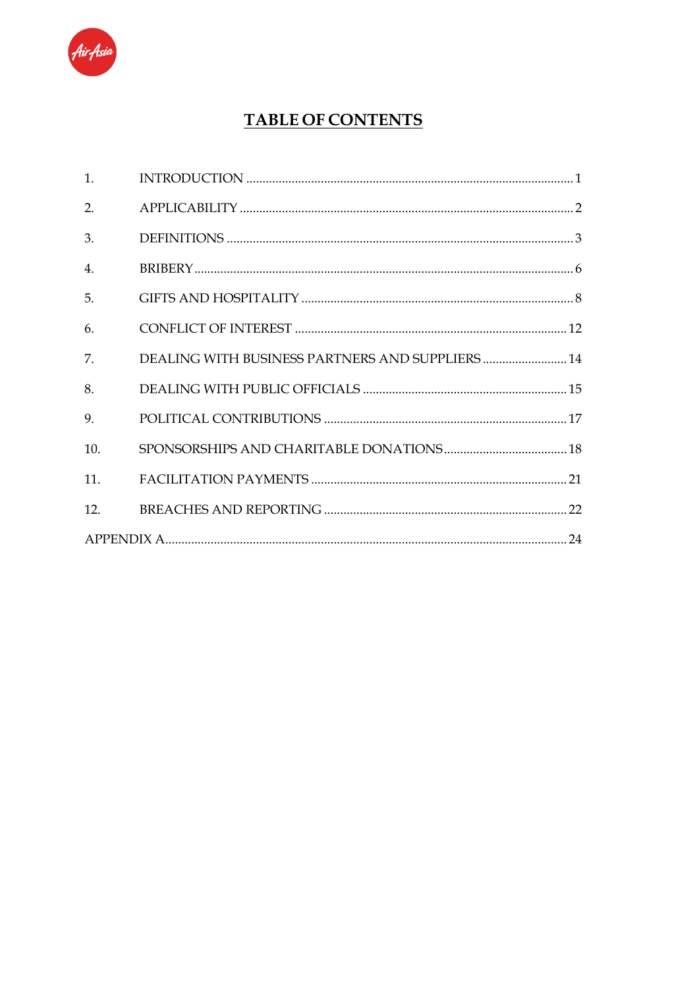

# **TABLE OF CONTENTS**

| 2.             |                                                  |  |
|----------------|--------------------------------------------------|--|
| 3.             |                                                  |  |
| $\mathbf{4}$ . |                                                  |  |
| 5 <sub>1</sub> |                                                  |  |
| 6.             |                                                  |  |
| 7.             | DEALING WITH BUSINESS PARTNERS AND SUPPLIERS  14 |  |
| 8.             |                                                  |  |
| 9.             |                                                  |  |
| 10.            |                                                  |  |
|                |                                                  |  |
|                |                                                  |  |
|                |                                                  |  |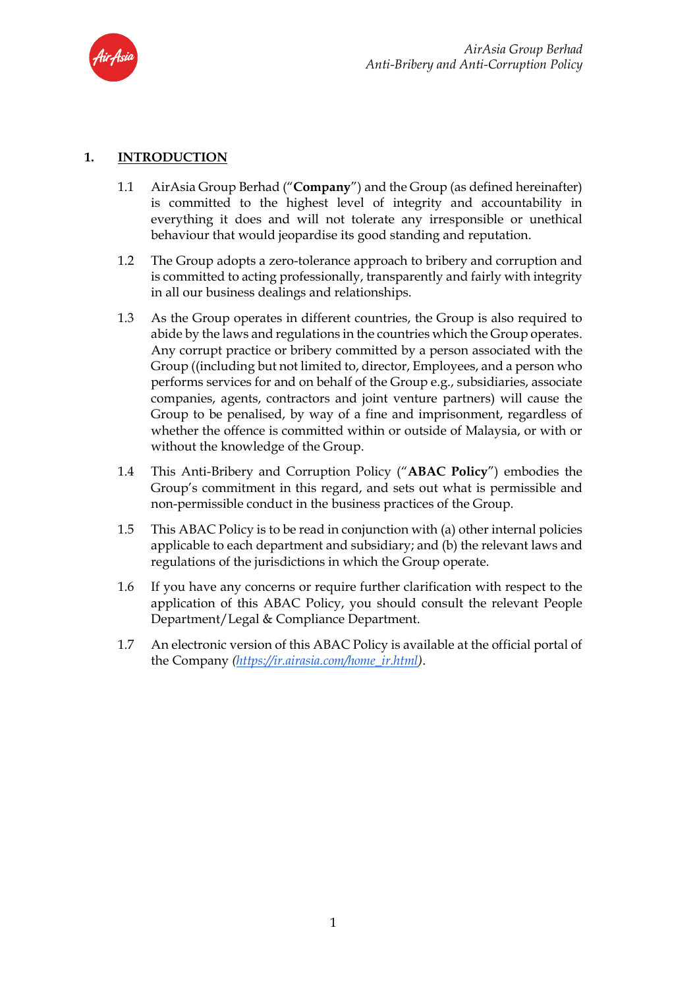

### **1. INTRODUCTION**

- 1.1 AirAsia Group Berhad ("**Company**") and the Group (as defined hereinafter) is committed to the highest level of integrity and accountability in everything it does and will not tolerate any irresponsible or unethical behaviour that would jeopardise its good standing and reputation.
- 1.2 The Group adopts a zero-tolerance approach to bribery and corruption and is committed to acting professionally, transparently and fairly with integrity in all our business dealings and relationships.
- 1.3 As the Group operates in different countries, the Group is also required to abide by the laws and regulations in the countries which the Group operates. Any corrupt practice or bribery committed by a person associated with the Group ((including but not limited to, director, Employees, and a person who performs services for and on behalf of the Group e.g., subsidiaries, associate companies, agents, contractors and joint venture partners) will cause the Group to be penalised, by way of a fine and imprisonment, regardless of whether the offence is committed within or outside of Malaysia, or with or without the knowledge of the Group.
- 1.4 This Anti-Bribery and Corruption Policy ("**ABAC Policy**") embodies the Group's commitment in this regard, and sets out what is permissible and non-permissible conduct in the business practices of the Group.
- 1.5 This ABAC Policy is to be read in conjunction with (a) other internal policies applicable to each department and subsidiary; and (b) the relevant laws and regulations of the jurisdictions in which the Group operate.
- 1.6 If you have any concerns or require further clarification with respect to the application of this ABAC Policy, you should consult the relevant People Department/Legal & Compliance Department.
- 1.7 An electronic version of this ABAC Policy is available at the official portal of the Company *[\(https://ir.airasia.com/home\\_ir.html\)](https://ir.airasia.com/home_ir.html)*.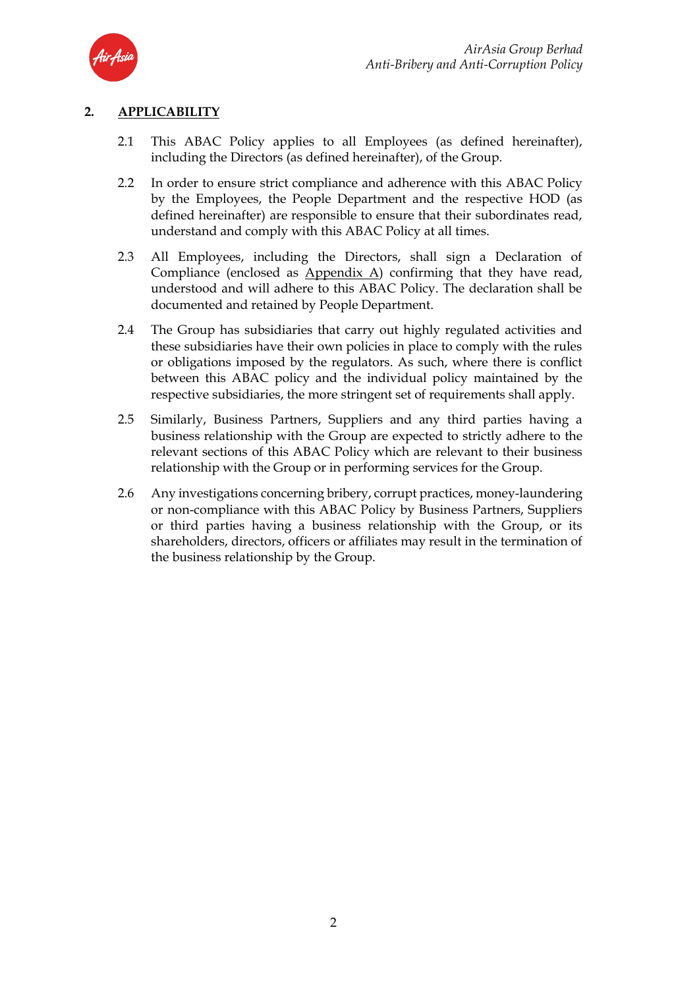

### **2. APPLICABILITY**

- 2.1 This ABAC Policy applies to all Employees (as defined hereinafter), including the Directors (as defined hereinafter), of the Group.
- 2.2 In order to ensure strict compliance and adherence with this ABAC Policy by the Employees, the People Department and the respective HOD (as defined hereinafter) are responsible to ensure that their subordinates read, understand and comply with this ABAC Policy at all times.
- 2.3 All Employees, including the Directors, shall sign a Declaration of Compliance (enclosed as Appendix A) confirming that they have read, understood and will adhere to this ABAC Policy. The declaration shall be documented and retained by People Department.
- 2.4 The Group has subsidiaries that carry out highly regulated activities and these subsidiaries have their own policies in place to comply with the rules or obligations imposed by the regulators. As such, where there is conflict between this ABAC policy and the individual policy maintained by the respective subsidiaries, the more stringent set of requirements shall apply.
- 2.5 Similarly, Business Partners, Suppliers and any third parties having a business relationship with the Group are expected to strictly adhere to the relevant sections of this ABAC Policy which are relevant to their business relationship with the Group or in performing services for the Group.
- 2.6 Any investigations concerning bribery, corrupt practices, money-laundering or non-compliance with this ABAC Policy by Business Partners, Suppliers or third parties having a business relationship with the Group, or its shareholders, directors, officers or affiliates may result in the termination of the business relationship by the Group.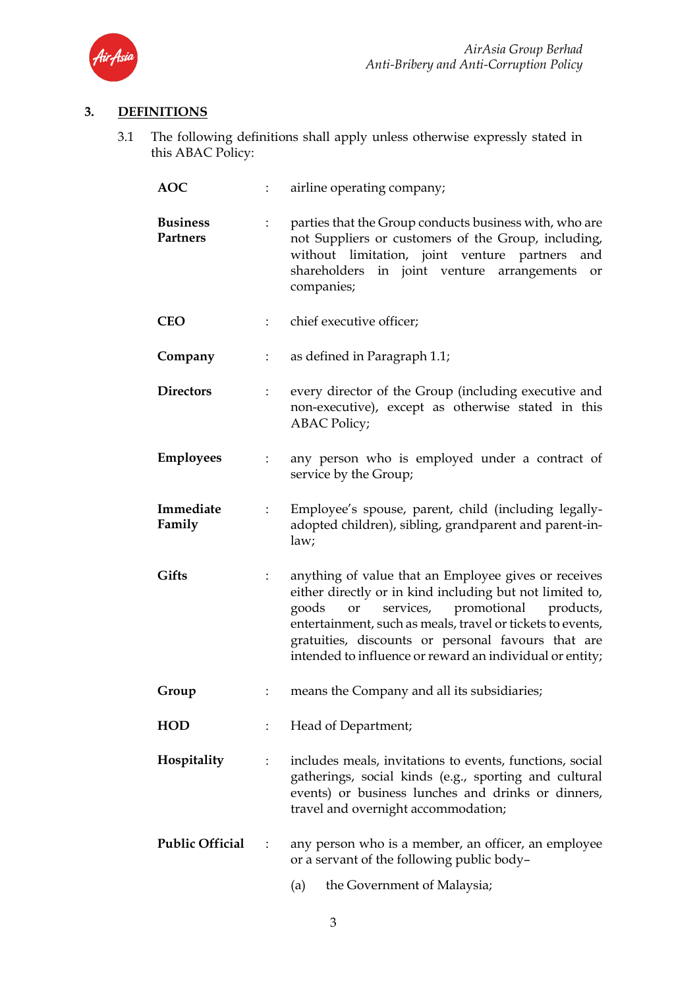

# **3. DEFINITIONS**

3.1 The following definitions shall apply unless otherwise expressly stated in this ABAC Policy:

| <b>AOC</b>                         |                      | airline operating company;                                                                                                                                                                                                                                                                                                                         |  |  |  |
|------------------------------------|----------------------|----------------------------------------------------------------------------------------------------------------------------------------------------------------------------------------------------------------------------------------------------------------------------------------------------------------------------------------------------|--|--|--|
| <b>Business</b><br><b>Partners</b> |                      | parties that the Group conducts business with, who are<br>not Suppliers or customers of the Group, including,<br>without limitation, joint venture partners<br>and<br>shareholders in joint venture arrangements<br>or<br>companies;                                                                                                               |  |  |  |
| <b>CEO</b>                         | ÷                    | chief executive officer;                                                                                                                                                                                                                                                                                                                           |  |  |  |
| Company                            | $\ddot{\phantom{a}}$ | as defined in Paragraph 1.1;                                                                                                                                                                                                                                                                                                                       |  |  |  |
| <b>Directors</b>                   | $\ddot{\cdot}$       | every director of the Group (including executive and<br>non-executive), except as otherwise stated in this<br><b>ABAC Policy;</b>                                                                                                                                                                                                                  |  |  |  |
| <b>Employees</b>                   | ÷                    | any person who is employed under a contract of<br>service by the Group;                                                                                                                                                                                                                                                                            |  |  |  |
| Immediate<br>Family                | $\ddot{\cdot}$       | Employee's spouse, parent, child (including legally-<br>adopted children), sibling, grandparent and parent-in-<br>law;                                                                                                                                                                                                                             |  |  |  |
| <b>Gifts</b>                       | $\ddot{\cdot}$       | anything of value that an Employee gives or receives<br>either directly or in kind including but not limited to,<br>services, promotional products,<br>goods<br>or<br>entertainment, such as meals, travel or tickets to events,<br>gratuities, discounts or personal favours that are<br>intended to influence or reward an individual or entity; |  |  |  |
| Group                              |                      | means the Company and all its subsidiaries;                                                                                                                                                                                                                                                                                                        |  |  |  |
| <b>HOD</b>                         |                      | Head of Department;                                                                                                                                                                                                                                                                                                                                |  |  |  |
| Hospitality                        |                      | includes meals, invitations to events, functions, social<br>gatherings, social kinds (e.g., sporting and cultural<br>events) or business lunches and drinks or dinners,<br>travel and overnight accommodation;                                                                                                                                     |  |  |  |
| <b>Public Official</b>             |                      | any person who is a member, an officer, an employee<br>or a servant of the following public body-                                                                                                                                                                                                                                                  |  |  |  |
|                                    |                      | the Government of Malaysia;<br>(a)                                                                                                                                                                                                                                                                                                                 |  |  |  |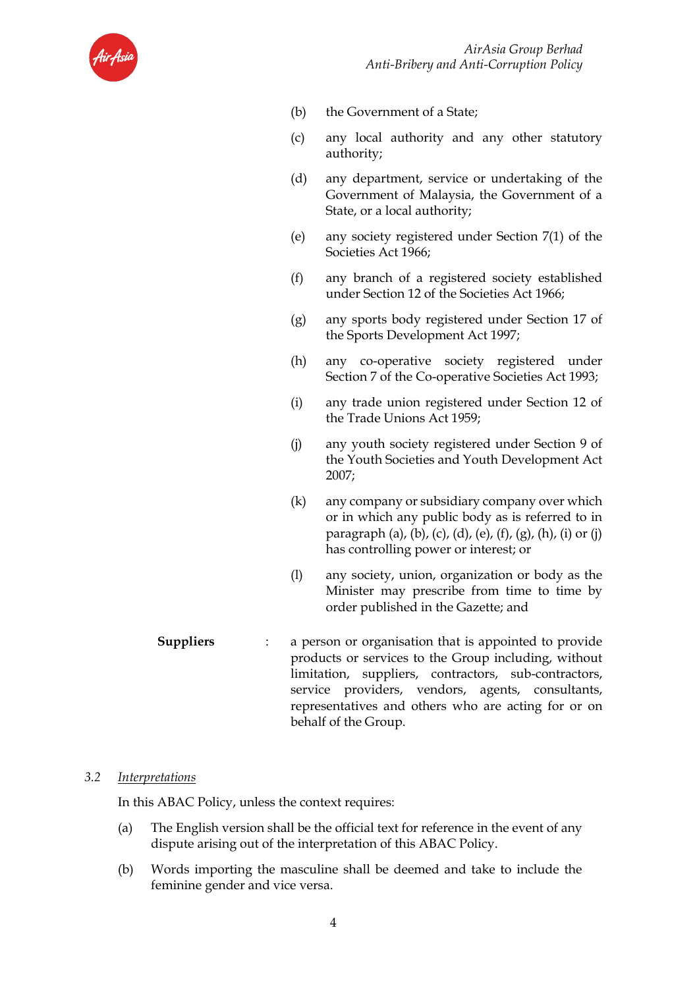

- (b) the Government of a State;
- (c) any local authority and any other statutory authority;
- (d) any department, service or undertaking of the Government of Malaysia, the Government of a State, or a local authority;
- (e) any society registered under Section 7(1) of the Societies Act 1966;
- (f) any branch of a registered society established under Section 12 of the Societies Act 1966;
- (g) any sports body registered under Section 17 of the Sports Development Act 1997;
- (h) any co-operative society registered under Section 7 of the Co-operative Societies Act 1993;
- (i) any trade union registered under Section 12 of the Trade Unions Act 1959;
- (j) any youth society registered under Section 9 of the Youth Societies and Youth Development Act 2007;
- (k) any company or subsidiary company over which or in which any public body as is referred to in paragraph (a), (b), (c), (d), (e), (f), (g), (h), (i) or (j) has controlling power or interest; or
- (l) any society, union, organization or body as the Minister may prescribe from time to time by order published in the Gazette; and
- **Suppliers** : a person or organisation that is appointed to provide products or services to the Group including, without limitation, suppliers, contractors, sub-contractors, service providers, vendors, agents, consultants, representatives and others who are acting for or on behalf of the Group.

### *3.2 Interpretations*

In this ABAC Policy, unless the context requires:

- (a) The English version shall be the official text for reference in the event of any dispute arising out of the interpretation of this ABAC Policy.
- (b) Words importing the masculine shall be deemed and take to include the feminine gender and vice versa.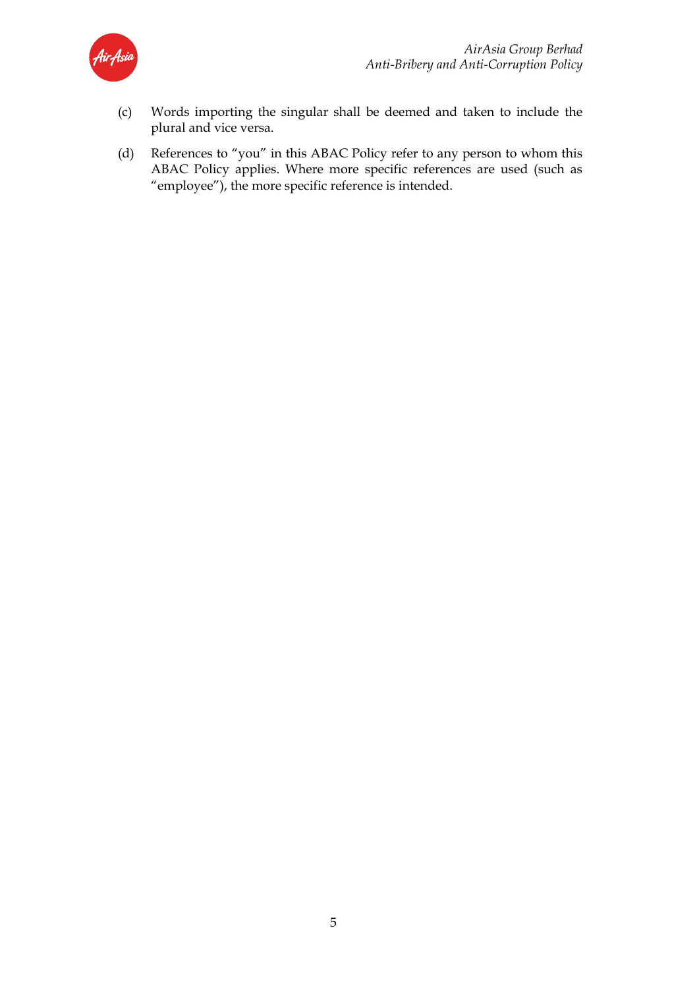

- (c) Words importing the singular shall be deemed and taken to include the plural and vice versa.
- (d) References to "you" in this ABAC Policy refer to any person to whom this ABAC Policy applies. Where more specific references are used (such as "employee"), the more specific reference is intended.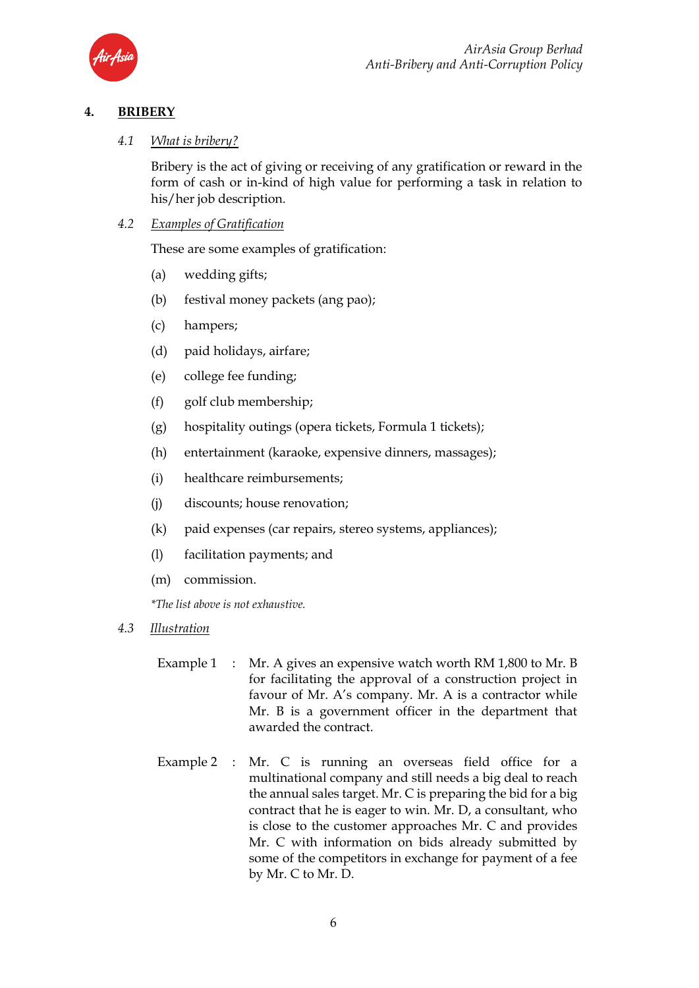

# **4. BRIBERY**

### *4.1 What is bribery?*

Bribery is the act of giving or receiving of any gratification or reward in the form of cash or in-kind of high value for performing a task in relation to his/her job description.

*4.2 Examples of Gratification*

These are some examples of gratification:

- (a) wedding gifts;
- (b) festival money packets (ang pao);
- (c) hampers;
- (d) paid holidays, airfare;
- (e) college fee funding;
- (f) golf club membership;
- (g) hospitality outings (opera tickets, Formula 1 tickets);
- (h) entertainment (karaoke, expensive dinners, massages);
- (i) healthcare reimbursements;
- (j) discounts; house renovation;
- (k) paid expenses (car repairs, stereo systems, appliances);
- (l) facilitation payments; and
- (m) commission.

*\*The list above is not exhaustive.*

- *4.3 Illustration*
	- Example 1 : Mr. A gives an expensive watch worth RM 1,800 to Mr. B for facilitating the approval of a construction project in favour of Mr. A's company. Mr. A is a contractor while Mr. B is a government officer in the department that awarded the contract.
	- Example 2 : Mr. C is running an overseas field office for a multinational company and still needs a big deal to reach the annual sales target. Mr. C is preparing the bid for a big contract that he is eager to win. Mr. D, a consultant, who is close to the customer approaches Mr. C and provides Mr. C with information on bids already submitted by some of the competitors in exchange for payment of a fee by Mr. C to Mr. D.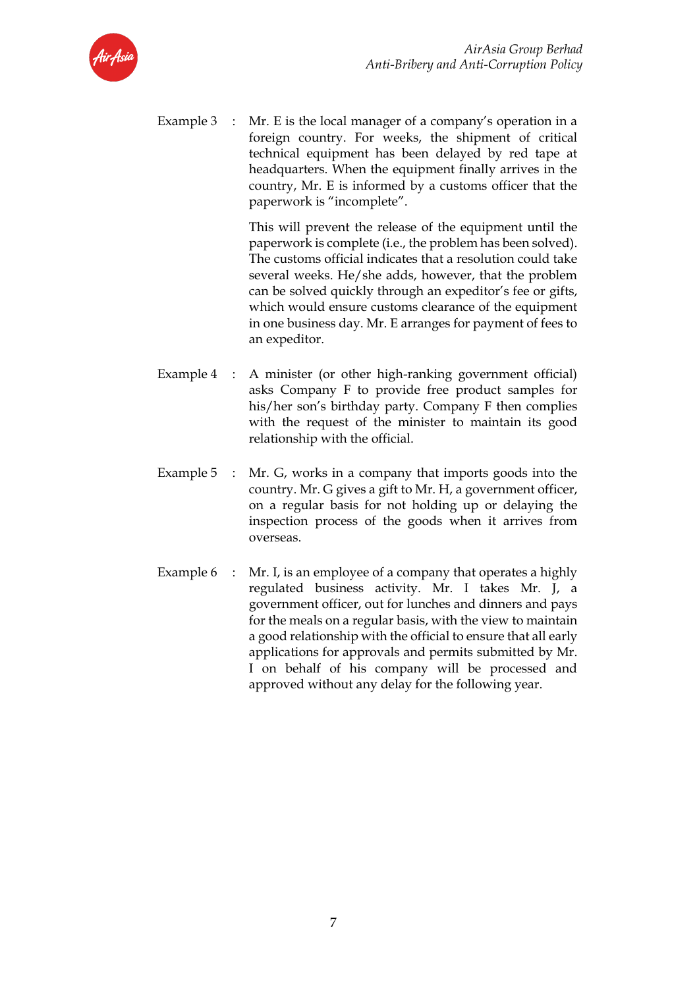

Example  $3 : Mr. E$  is the local manager of a company's operation in a foreign country. For weeks, the shipment of critical technical equipment has been delayed by red tape at headquarters. When the equipment finally arrives in the country, Mr. E is informed by a customs officer that the paperwork is "incomplete".

> This will prevent the release of the equipment until the paperwork is complete (i.e., the problem has been solved). The customs official indicates that a resolution could take several weeks. He/she adds, however, that the problem can be solved quickly through an expeditor's fee or gifts, which would ensure customs clearance of the equipment in one business day. Mr. E arranges for payment of fees to an expeditor.

- Example 4 : A minister (or other high-ranking government official) asks Company F to provide free product samples for his/her son's birthday party. Company F then complies with the request of the minister to maintain its good relationship with the official.
- Example 5 : Mr. G, works in a company that imports goods into the country. Mr. G gives a gift to Mr. H, a government officer, on a regular basis for not holding up or delaying the inspection process of the goods when it arrives from overseas.
- Example  $6:$  Mr. I, is an employee of a company that operates a highly regulated business activity. Mr. I takes Mr. J, a government officer, out for lunches and dinners and pays for the meals on a regular basis, with the view to maintain a good relationship with the official to ensure that all early applications for approvals and permits submitted by Mr. I on behalf of his company will be processed and approved without any delay for the following year.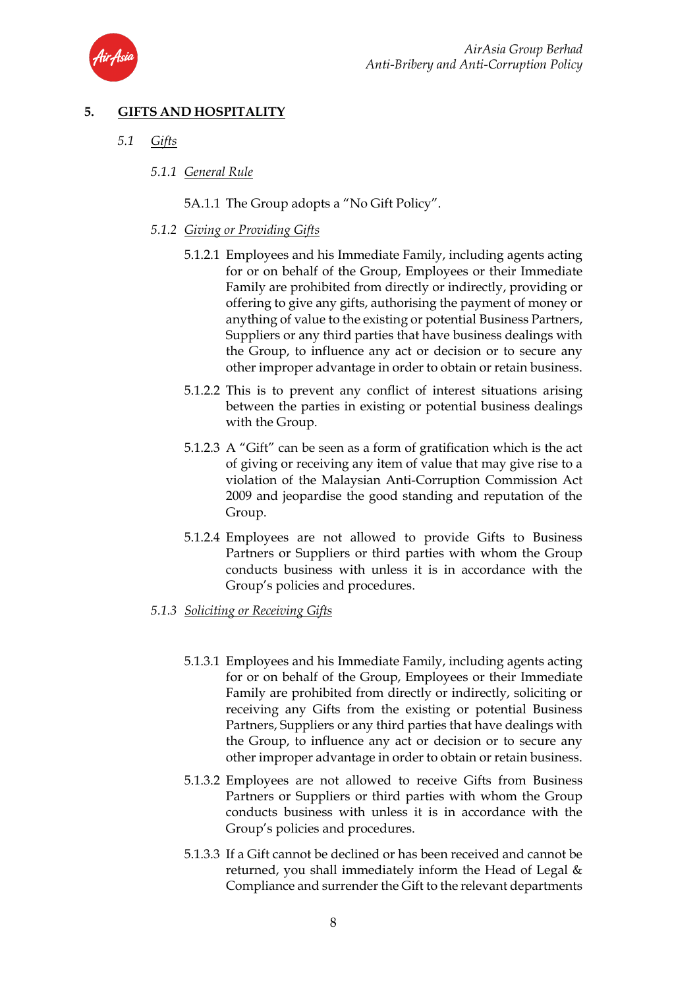

# **5. GIFTS AND HOSPITALITY**

- *5.1 Gifts*
	- *5.1.1 General Rule*
		- 5A.1.1 The Group adopts a "No Gift Policy".

### *5.1.2 Giving or Providing Gifts*

- 5.1.2.1 Employees and his Immediate Family, including agents acting for or on behalf of the Group, Employees or their Immediate Family are prohibited from directly or indirectly, providing or offering to give any gifts, authorising the payment of money or anything of value to the existing or potential Business Partners, Suppliers or any third parties that have business dealings with the Group, to influence any act or decision or to secure any other improper advantage in order to obtain or retain business.
- 5.1.2.2 This is to prevent any conflict of interest situations arising between the parties in existing or potential business dealings with the Group.
- 5.1.2.3 A "Gift" can be seen as a form of gratification which is the act of giving or receiving any item of value that may give rise to a violation of the Malaysian Anti-Corruption Commission Act 2009 and jeopardise the good standing and reputation of the Group.
- 5.1.2.4 Employees are not allowed to provide Gifts to Business Partners or Suppliers or third parties with whom the Group conducts business with unless it is in accordance with the Group's policies and procedures.
- *5.1.3 Soliciting or Receiving Gifts*
	- 5.1.3.1 Employees and his Immediate Family, including agents acting for or on behalf of the Group, Employees or their Immediate Family are prohibited from directly or indirectly, soliciting or receiving any Gifts from the existing or potential Business Partners, Suppliers or any third parties that have dealings with the Group, to influence any act or decision or to secure any other improper advantage in order to obtain or retain business.
	- 5.1.3.2 Employees are not allowed to receive Gifts from Business Partners or Suppliers or third parties with whom the Group conducts business with unless it is in accordance with the Group's policies and procedures.
	- 5.1.3.3 If a Gift cannot be declined or has been received and cannot be returned, you shall immediately inform the Head of Legal  $\&$ Compliance and surrender the Gift to the relevant departments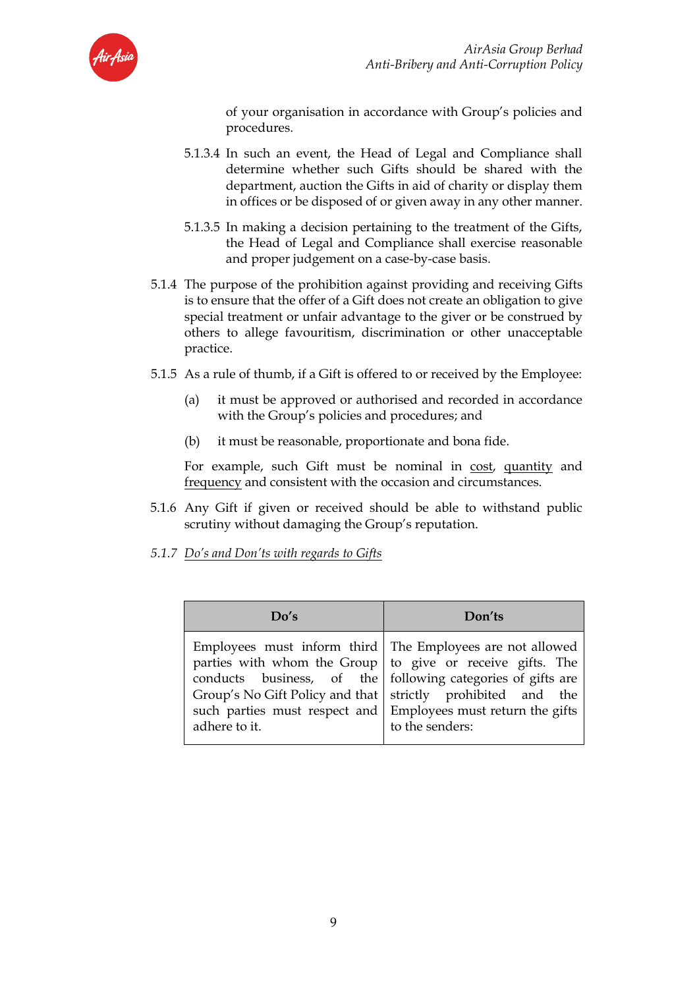

of your organisation in accordance with Group's policies and procedures.

- 5.1.3.4 In such an event, the Head of Legal and Compliance shall determine whether such Gifts should be shared with the department, auction the Gifts in aid of charity or display them in offices or be disposed of or given away in any other manner.
- 5.1.3.5 In making a decision pertaining to the treatment of the Gifts, the Head of Legal and Compliance shall exercise reasonable and proper judgement on a case-by-case basis.
- 5.1.4 The purpose of the prohibition against providing and receiving Gifts is to ensure that the offer of a Gift does not create an obligation to give special treatment or unfair advantage to the giver or be construed by others to allege favouritism, discrimination or other unacceptable practice.
- 5.1.5 As a rule of thumb, if a Gift is offered to or received by the Employee:
	- (a) it must be approved or authorised and recorded in accordance with the Group's policies and procedures; and
	- (b) it must be reasonable, proportionate and bona fide.

For example, such Gift must be nominal in cost, quantity and frequency and consistent with the occasion and circumstances.

- 5.1.6 Any Gift if given or received should be able to withstand public scrutiny without damaging the Group's reputation.
- *5.1.7 Do's and Don'ts with regards to Gifts*

| Do's          | Don'ts                                                                                                                                                                                                                                                                                                                                               |
|---------------|------------------------------------------------------------------------------------------------------------------------------------------------------------------------------------------------------------------------------------------------------------------------------------------------------------------------------------------------------|
| adhere to it. | Employees must inform third   The Employees are not allowed<br>parties with whom the Group $\vert$ to give or receive gifts. The<br>conducts business, of the following categories of gifts are<br>Group's No Gift Policy and that   strictly prohibited and the<br>such parties must respect and Employees must return the gifts<br>to the senders: |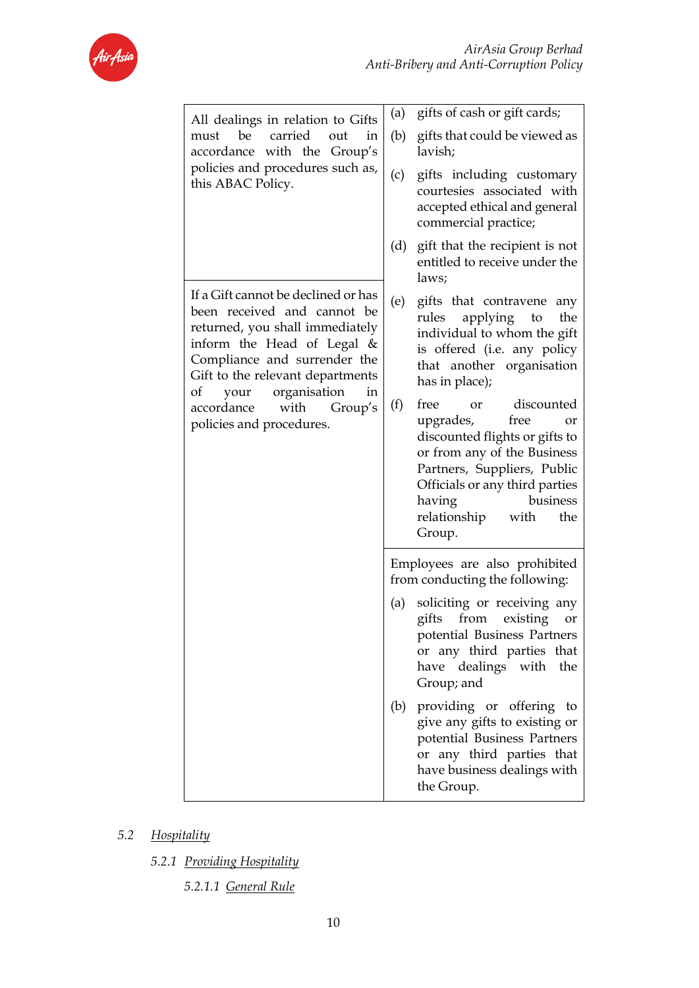

| All dealings in relation to Gifts                                                                                                                                                                                                          | gifts of cash or gift cards;<br>(a)                                                                                                                                                                                                                             |
|--------------------------------------------------------------------------------------------------------------------------------------------------------------------------------------------------------------------------------------------|-----------------------------------------------------------------------------------------------------------------------------------------------------------------------------------------------------------------------------------------------------------------|
| carried<br>must be<br>out<br>in<br>accordance with the Group's                                                                                                                                                                             | gifts that could be viewed as<br>(b)<br>lavish;                                                                                                                                                                                                                 |
| policies and procedures such as,<br>this ABAC Policy.                                                                                                                                                                                      | gifts including customary<br>(c)<br>courtesies associated with<br>accepted ethical and general<br>commercial practice;                                                                                                                                          |
|                                                                                                                                                                                                                                            | (d)<br>gift that the recipient is not<br>entitled to receive under the<br>laws;                                                                                                                                                                                 |
| If a Gift cannot be declined or has<br>been received and cannot be<br>returned, you shall immediately<br>inform the Head of Legal $&$<br>Compliance and surrender the<br>Gift to the relevant departments<br>your organisation<br>οf<br>in | (e)<br>gifts that contravene<br>any<br>applying<br>rules<br>the<br>to<br>individual to whom the gift<br>is offered (i.e. any policy<br>that another organisation<br>has in place);                                                                              |
| accordance<br>with<br>Group's<br>policies and procedures.                                                                                                                                                                                  | free<br>discounted<br>(f)<br><b>or</b><br>upgrades,<br>free<br>or<br>discounted flights or gifts to<br>or from any of the Business<br>Partners, Suppliers, Public<br>Officials or any third parties<br>business<br>having<br>relationship with<br>the<br>Group. |
|                                                                                                                                                                                                                                            | Employees are also prohibited<br>from conducting the following:                                                                                                                                                                                                 |
|                                                                                                                                                                                                                                            | soliciting or receiving any<br>(a)<br>gifts from<br>existing<br>or<br>potential Business Partners<br>or any third parties that<br>have dealings with<br>the<br>Group; and                                                                                       |
|                                                                                                                                                                                                                                            | providing or offering to<br>(b)<br>give any gifts to existing or<br>potential Business Partners<br>or any third parties that<br>have business dealings with<br>the Group.                                                                                       |

- *5.2 Hospitality*
	- *5.2.1 Providing Hospitality*
		- *5.2.1.1 General Rule*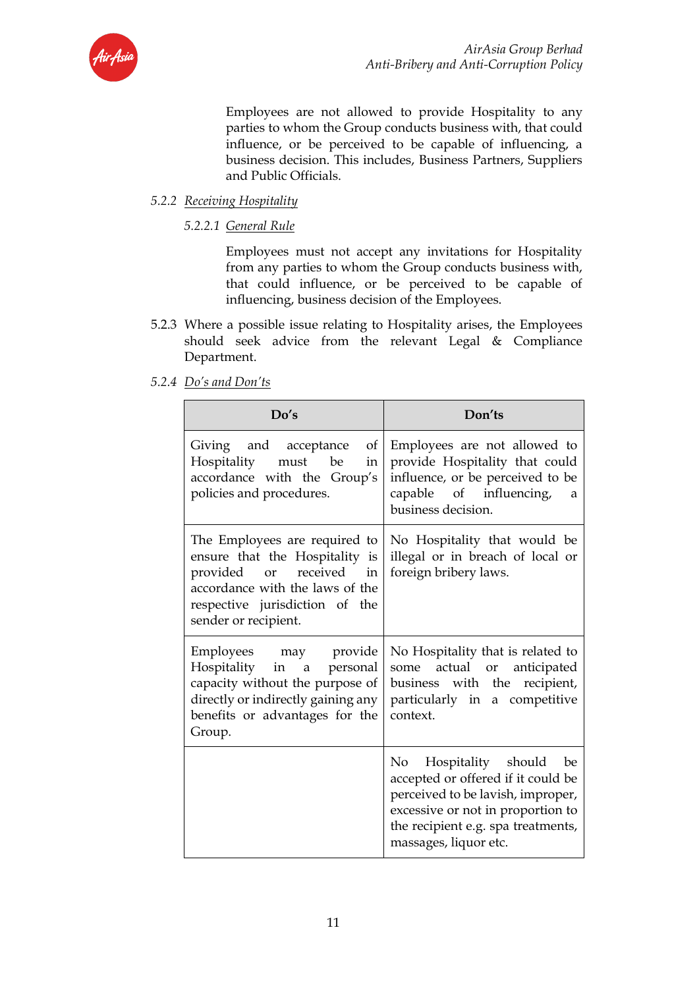

Employees are not allowed to provide Hospitality to any parties to whom the Group conducts business with, that could influence, or be perceived to be capable of influencing, a business decision. This includes, Business Partners, Suppliers and Public Officials.

# *5.2.2 Receiving Hospitality*

*5.2.2.1 General Rule*

Employees must not accept any invitations for Hospitality from any parties to whom the Group conducts business with, that could influence, or be perceived to be capable of influencing, business decision of the Employees.

5.2.3 Where a possible issue relating to Hospitality arises, the Employees should seek advice from the relevant Legal & Compliance Department.

| Do's                                                                                                                                                                                    | Don'ts                                                                                                                                                                                                                               |
|-----------------------------------------------------------------------------------------------------------------------------------------------------------------------------------------|--------------------------------------------------------------------------------------------------------------------------------------------------------------------------------------------------------------------------------------|
| Giving and acceptance<br>of<br>Hospitality<br>must be<br>in<br>accordance with the Group's<br>policies and procedures.                                                                  | Employees are not allowed to<br>provide Hospitality that could<br>influence, or be perceived to be<br>capable of influencing,<br>a<br>business decision.                                                                             |
| The Employees are required to<br>ensure that the Hospitality is<br>provided or received in<br>accordance with the laws of the<br>respective jurisdiction of the<br>sender or recipient. | No Hospitality that would be<br>illegal or in breach of local or<br>foreign bribery laws.                                                                                                                                            |
| Employees may provide<br>Hospitality in a personal<br>capacity without the purpose of<br>directly or indirectly gaining any<br>benefits or advantages for the<br>Group.                 | No Hospitality that is related to<br>actual or anticipated<br>some<br>business with the recipient,<br>particularly in a competitive<br>context.                                                                                      |
|                                                                                                                                                                                         | Hospitality should be<br>No the set of $\mathbb{R}^n$<br>accepted or offered if it could be<br>perceived to be lavish, improper,<br>excessive or not in proportion to<br>the recipient e.g. spa treatments,<br>massages, liquor etc. |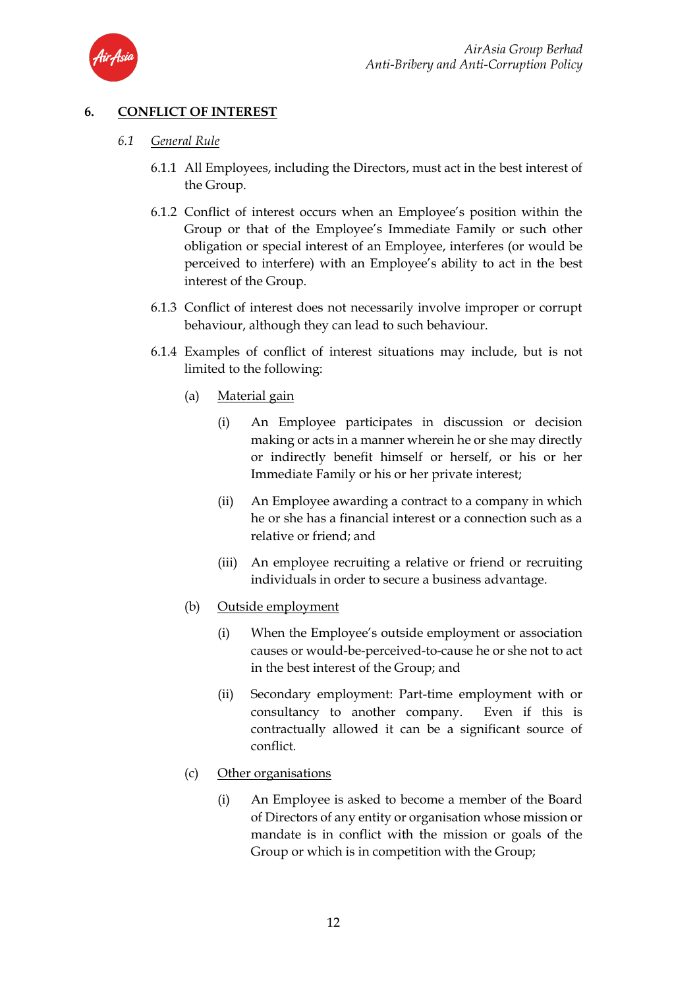

# **6. CONFLICT OF INTEREST**

- *6.1 General Rule*
	- 6.1.1 All Employees, including the Directors, must act in the best interest of the Group.
	- 6.1.2 Conflict of interest occurs when an Employee's position within the Group or that of the Employee's Immediate Family or such other obligation or special interest of an Employee, interferes (or would be perceived to interfere) with an Employee's ability to act in the best interest of the Group.
	- 6.1.3 Conflict of interest does not necessarily involve improper or corrupt behaviour, although they can lead to such behaviour.
	- 6.1.4 Examples of conflict of interest situations may include, but is not limited to the following:
		- (a) Material gain
			- (i) An Employee participates in discussion or decision making or acts in a manner wherein he or she may directly or indirectly benefit himself or herself, or his or her Immediate Family or his or her private interest;
			- (ii) An Employee awarding a contract to a company in which he or she has a financial interest or a connection such as a relative or friend; and
			- (iii) An employee recruiting a relative or friend or recruiting individuals in order to secure a business advantage.
		- (b) Outside employment
			- (i) When the Employee's outside employment or association causes or would-be-perceived-to-cause he or she not to act in the best interest of the Group; and
			- (ii) Secondary employment: Part-time employment with or consultancy to another company. Even if this is contractually allowed it can be a significant source of conflict.
		- (c) Other organisations
			- (i) An Employee is asked to become a member of the Board of Directors of any entity or organisation whose mission or mandate is in conflict with the mission or goals of the Group or which is in competition with the Group;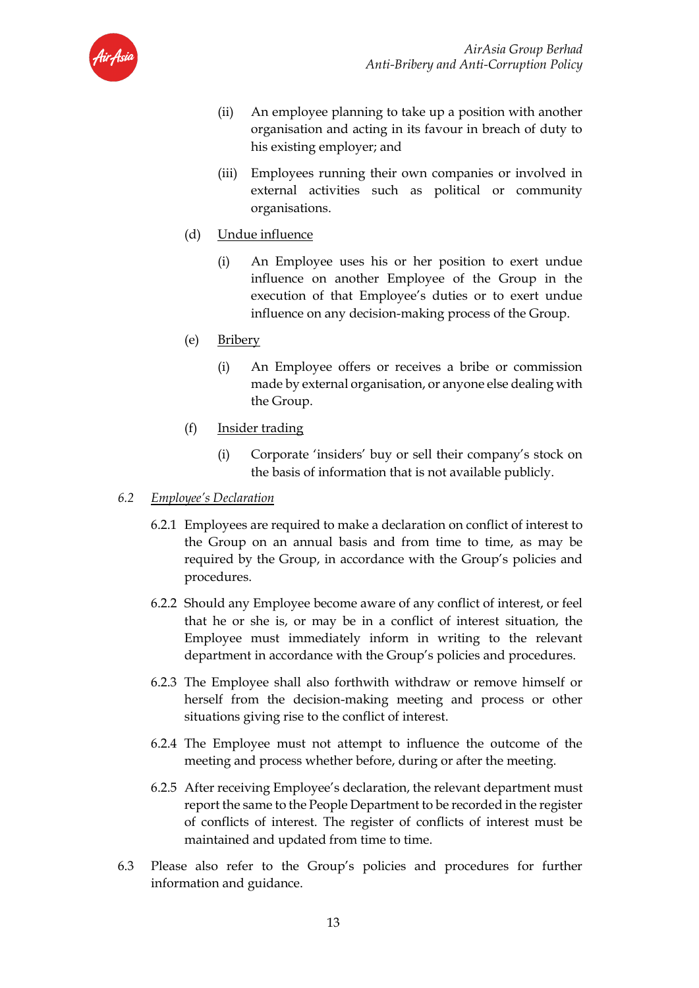

- (ii) An employee planning to take up a position with another organisation and acting in its favour in breach of duty to his existing employer; and
- (iii) Employees running their own companies or involved in external activities such as political or community organisations.
- (d) Undue influence
	- (i) An Employee uses his or her position to exert undue influence on another Employee of the Group in the execution of that Employee's duties or to exert undue influence on any decision-making process of the Group.
- (e) Bribery
	- (i) An Employee offers or receives a bribe or commission made by external organisation, or anyone else dealing with the Group.
- (f) Insider trading
	- (i) Corporate 'insiders' buy or sell their company's stock on the basis of information that is not available publicly.
- *6.2 Employee's Declaration*
	- 6.2.1 Employees are required to make a declaration on conflict of interest to the Group on an annual basis and from time to time, as may be required by the Group, in accordance with the Group's policies and procedures.
	- 6.2.2 Should any Employee become aware of any conflict of interest, or feel that he or she is, or may be in a conflict of interest situation, the Employee must immediately inform in writing to the relevant department in accordance with the Group's policies and procedures.
	- 6.2.3 The Employee shall also forthwith withdraw or remove himself or herself from the decision-making meeting and process or other situations giving rise to the conflict of interest.
	- 6.2.4 The Employee must not attempt to influence the outcome of the meeting and process whether before, during or after the meeting.
	- 6.2.5 After receiving Employee's declaration, the relevant department must report the same to the People Department to be recorded in the register of conflicts of interest. The register of conflicts of interest must be maintained and updated from time to time.
- 6.3 Please also refer to the Group's policies and procedures for further information and guidance.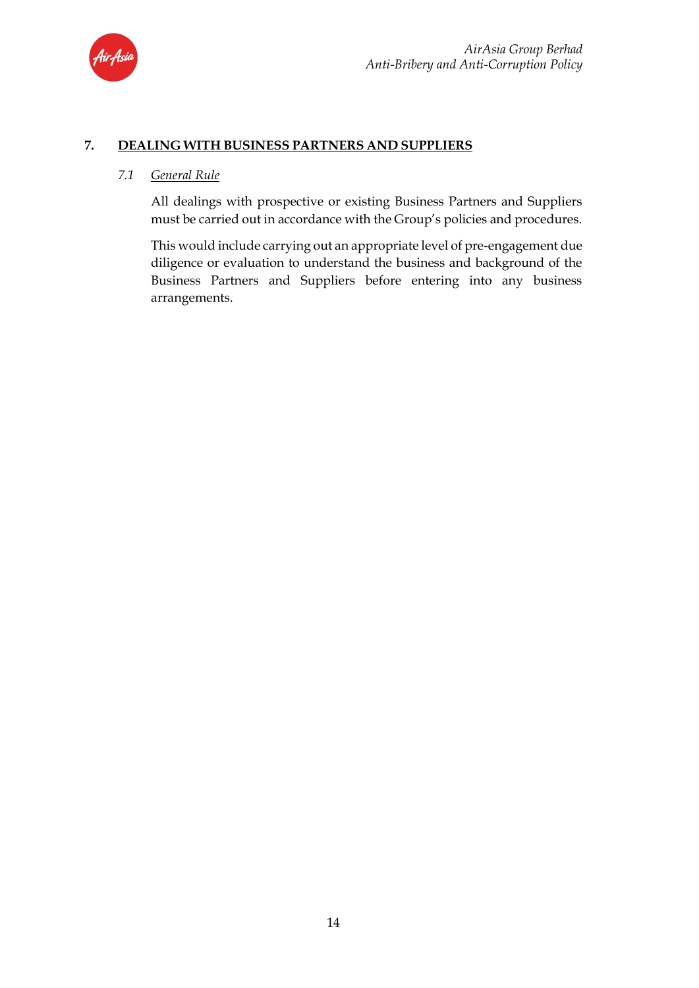

### **7. DEALING WITH BUSINESS PARTNERS AND SUPPLIERS**

### *7.1 General Rule*

All dealings with prospective or existing Business Partners and Suppliers must be carried out in accordance with the Group's policies and procedures.

This would include carrying out an appropriate level of pre-engagement due diligence or evaluation to understand the business and background of the Business Partners and Suppliers before entering into any business arrangements.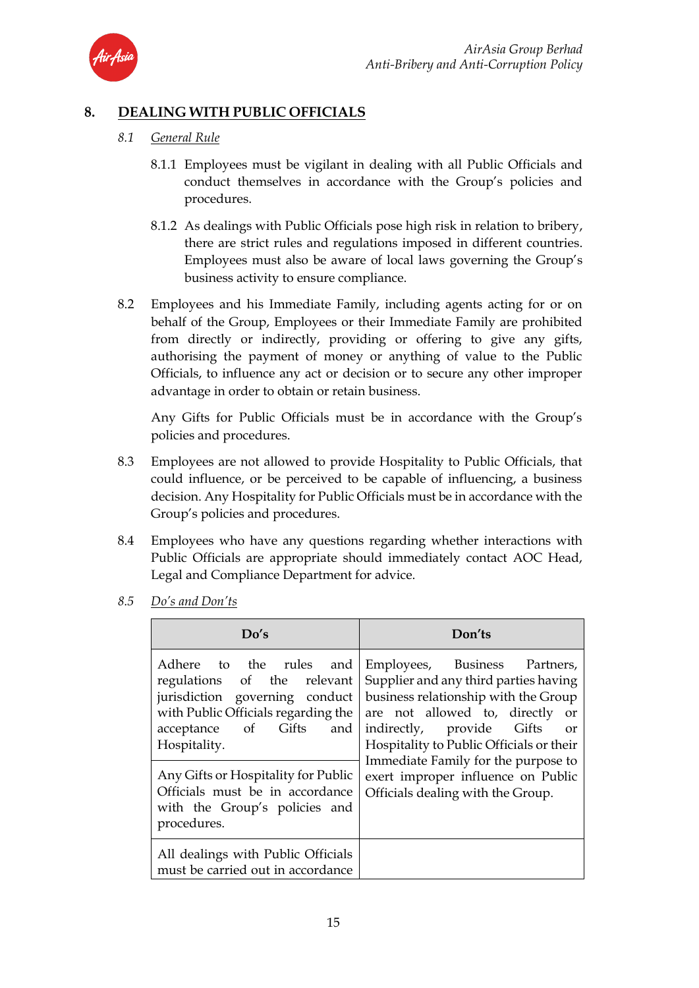

# **8. DEALING WITH PUBLIC OFFICIALS**

- *8.1 General Rule*
	- 8.1.1 Employees must be vigilant in dealing with all Public Officials and conduct themselves in accordance with the Group's policies and procedures.
	- 8.1.2 As dealings with Public Officials pose high risk in relation to bribery, there are strict rules and regulations imposed in different countries. Employees must also be aware of local laws governing the Group's business activity to ensure compliance.
- 8.2 Employees and his Immediate Family, including agents acting for or on behalf of the Group, Employees or their Immediate Family are prohibited from directly or indirectly, providing or offering to give any gifts, authorising the payment of money or anything of value to the Public Officials, to influence any act or decision or to secure any other improper advantage in order to obtain or retain business.

Any Gifts for Public Officials must be in accordance with the Group's policies and procedures.

- 8.3 Employees are not allowed to provide Hospitality to Public Officials, that could influence, or be perceived to be capable of influencing, a business decision. Any Hospitality for Public Officials must be in accordance with the Group's policies and procedures.
- 8.4 Employees who have any questions regarding whether interactions with Public Officials are appropriate should immediately contact AOC Head, Legal and Compliance Department for advice.
	- **Do's Don'ts** Adhere to the rules and regulations of the relevant jurisdiction governing conduct with Public Officials regarding the acceptance of Gifts and Hospitality. Employees, Business Partners, Supplier and any third parties having business relationship with the Group are not allowed to, directly or indirectly, provide Gifts or Hospitality to Public Officials or their Immediate Family for the purpose to exert improper influence on Public Officials dealing with the Group. Any Gifts or Hospitality for Public Officials must be in accordance with the Group's policies and procedures. All dealings with Public Officials must be carried out in accordance
- *8.5 Do's and Don'ts*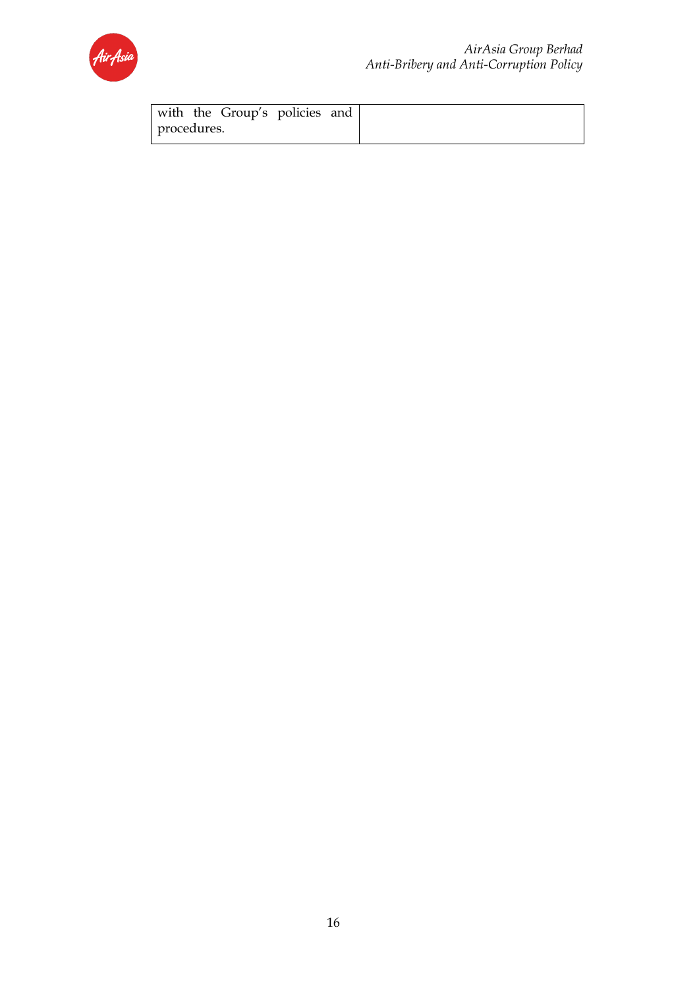

|             | with the Group's policies and |  |
|-------------|-------------------------------|--|
| procedures. |                               |  |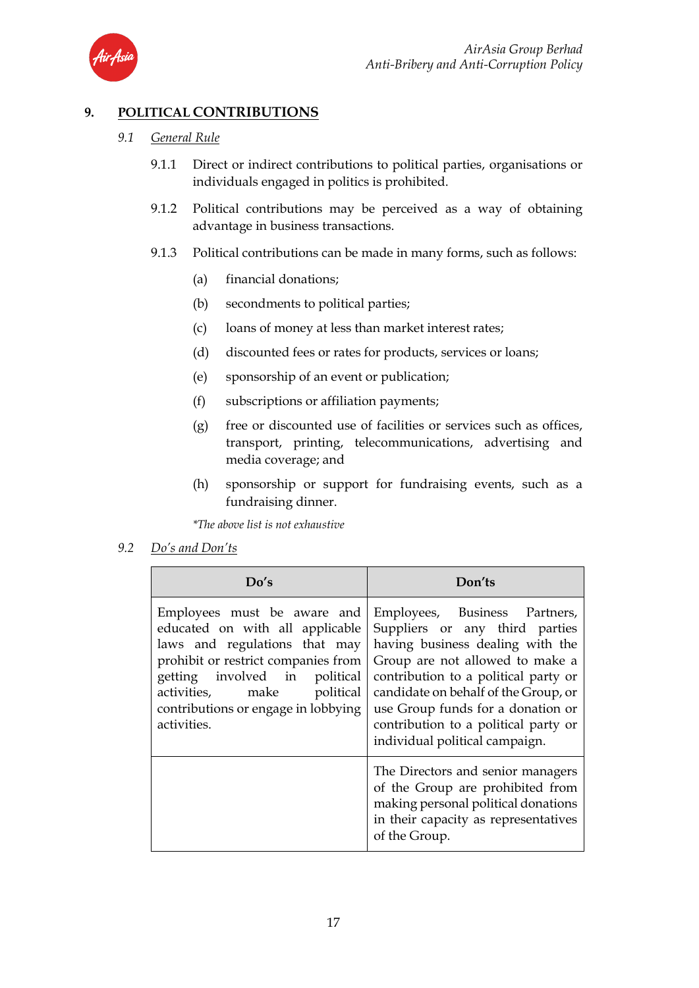

# **9. POLITICAL CONTRIBUTIONS**

### *9.1 General Rule*

- 9.1.1 Direct or indirect contributions to political parties, organisations or individuals engaged in politics is prohibited.
- 9.1.2 Political contributions may be perceived as a way of obtaining advantage in business transactions.
- 9.1.3 Political contributions can be made in many forms, such as follows:
	- (a) financial donations;
	- (b) secondments to political parties;
	- (c) loans of money at less than market interest rates;
	- (d) discounted fees or rates for products, services or loans;
	- (e) sponsorship of an event or publication;
	- (f) subscriptions or affiliation payments;
	- (g) free or discounted use of facilities or services such as offices, transport, printing, telecommunications, advertising and media coverage; and
	- (h) sponsorship or support for fundraising events, such as a fundraising dinner.

*\*The above list is not exhaustive* 

### *9.2 Do's and Don'ts*

| Do's                                                                                                                                                                                                                                                        | Don'ts                                                                                                                                                                                                                                                                                                                                |
|-------------------------------------------------------------------------------------------------------------------------------------------------------------------------------------------------------------------------------------------------------------|---------------------------------------------------------------------------------------------------------------------------------------------------------------------------------------------------------------------------------------------------------------------------------------------------------------------------------------|
| Employees must be aware and<br>educated on with all applicable<br>laws and regulations that may<br>prohibit or restrict companies from<br>getting involved in political<br>activities, make political<br>contributions or engage in lobbying<br>activities. | Employees, Business Partners,<br>Suppliers or any third parties<br>having business dealing with the<br>Group are not allowed to make a<br>contribution to a political party or<br>candidate on behalf of the Group, or<br>use Group funds for a donation or<br>contribution to a political party or<br>individual political campaign. |
|                                                                                                                                                                                                                                                             | The Directors and senior managers<br>of the Group are prohibited from<br>making personal political donations<br>in their capacity as representatives<br>of the Group.                                                                                                                                                                 |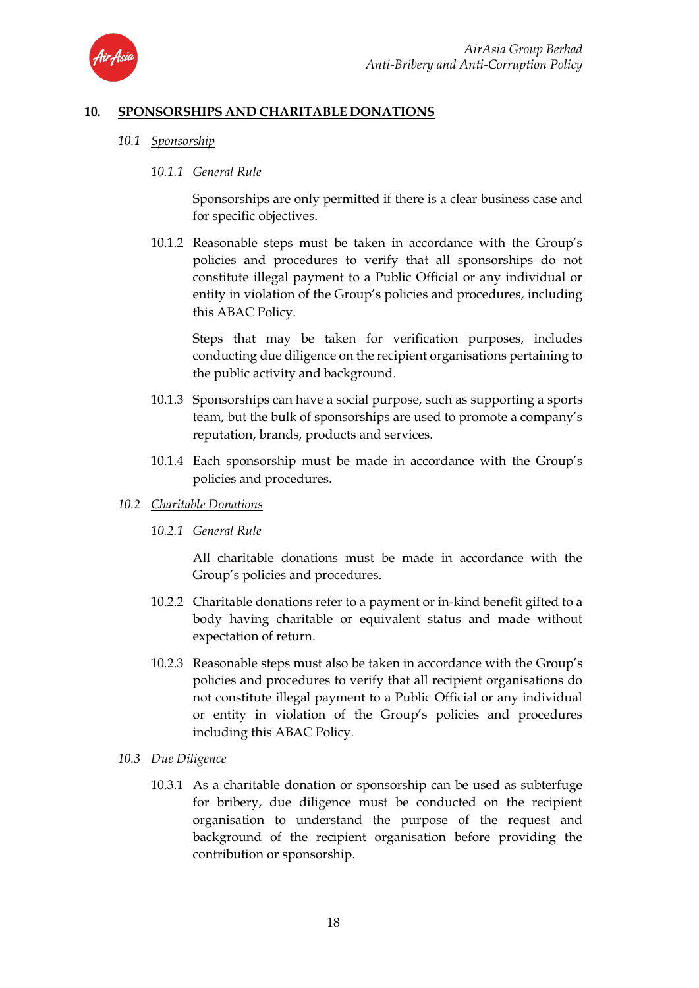

### **10. SPONSORSHIPS AND CHARITABLE DONATIONS**

*10.1 Sponsorship*

### *10.1.1 General Rule*

Sponsorships are only permitted if there is a clear business case and for specific objectives.

10.1.2 Reasonable steps must be taken in accordance with the Group's policies and procedures to verify that all sponsorships do not constitute illegal payment to a Public Official or any individual or entity in violation of the Group's policies and procedures, including this ABAC Policy.

Steps that may be taken for verification purposes, includes conducting due diligence on the recipient organisations pertaining to the public activity and background.

- 10.1.3 Sponsorships can have a social purpose, such as supporting a sports team, but the bulk of sponsorships are used to promote a company's reputation, brands, products and services.
- 10.1.4 Each sponsorship must be made in accordance with the Group's policies and procedures.
- *10.2 Charitable Donations*
	- *10.2.1 General Rule*

All charitable donations must be made in accordance with the Group's policies and procedures.

- 10.2.2 Charitable donations refer to a payment or in-kind benefit gifted to a body having charitable or equivalent status and made without expectation of return.
- 10.2.3 Reasonable steps must also be taken in accordance with the Group's policies and procedures to verify that all recipient organisations do not constitute illegal payment to a Public Official or any individual or entity in violation of the Group's policies and procedures including this ABAC Policy.
- *10.3 Due Diligence*
	- 10.3.1 As a charitable donation or sponsorship can be used as subterfuge for bribery, due diligence must be conducted on the recipient organisation to understand the purpose of the request and background of the recipient organisation before providing the contribution or sponsorship.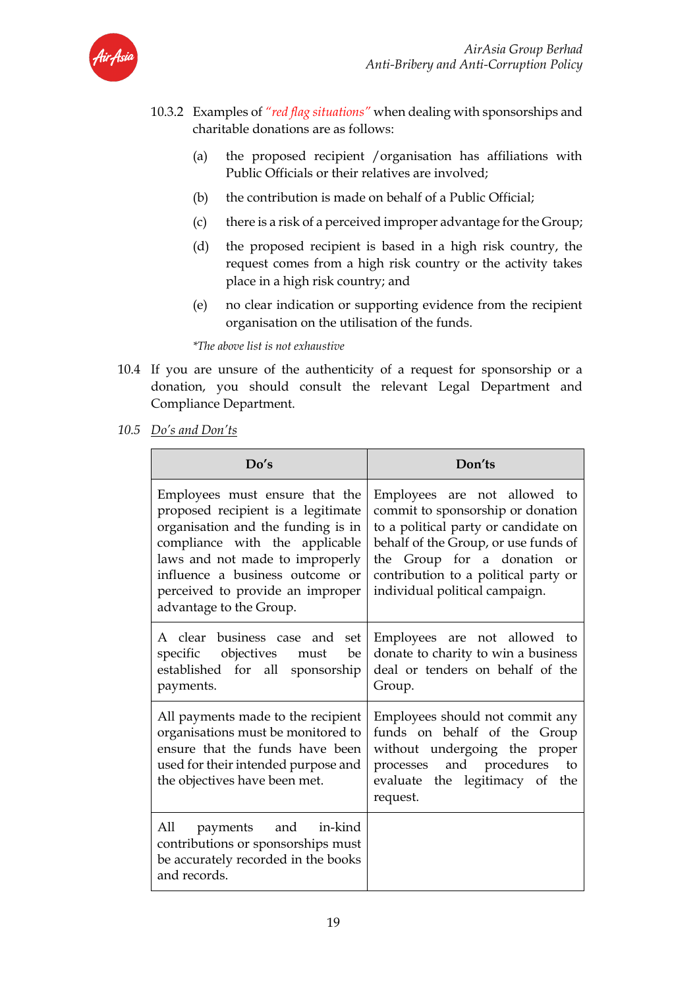

- 10.3.2 Examples of *"red flag situations"* when dealing with sponsorships and charitable donations are as follows:
	- (a) the proposed recipient /organisation has affiliations with Public Officials or their relatives are involved;
	- (b) the contribution is made on behalf of a Public Official;
	- (c) there is a risk of a perceived improper advantage for the Group;
	- (d) the proposed recipient is based in a high risk country, the request comes from a high risk country or the activity takes place in a high risk country; and
	- (e) no clear indication or supporting evidence from the recipient organisation on the utilisation of the funds.

*\*The above list is not exhaustive*

- 10.4 If you are unsure of the authenticity of a request for sponsorship or a donation, you should consult the relevant Legal Department and Compliance Department.
- *10.5 Do's and Don'ts*

| Do's                                                                                                                                                                                                                                                                              | Don'ts                                                                                                                                                                                                                                                     |
|-----------------------------------------------------------------------------------------------------------------------------------------------------------------------------------------------------------------------------------------------------------------------------------|------------------------------------------------------------------------------------------------------------------------------------------------------------------------------------------------------------------------------------------------------------|
| Employees must ensure that the<br>proposed recipient is a legitimate<br>organisation and the funding is in<br>compliance with the applicable<br>laws and not made to improperly<br>influence a business outcome or<br>perceived to provide an improper<br>advantage to the Group. | Employees are not allowed to<br>commit to sponsorship or donation<br>to a political party or candidate on<br>behalf of the Group, or use funds of<br>the Group for a donation or<br>contribution to a political party or<br>individual political campaign. |
| A clear business case and set<br>specific objectives must<br>be<br>established for all sponsorship<br>payments.                                                                                                                                                                   | Employees are not allowed to<br>donate to charity to win a business<br>deal or tenders on behalf of the<br>Group.                                                                                                                                          |
| All payments made to the recipient<br>organisations must be monitored to<br>ensure that the funds have been<br>used for their intended purpose and<br>the objectives have been met.                                                                                               | Employees should not commit any<br>funds on behalf of the Group<br>without undergoing the proper<br>processes and procedures<br>to<br>evaluate the legitimacy of<br>the<br>request.                                                                        |
| All payments and in-kind<br>contributions or sponsorships must<br>be accurately recorded in the books<br>and records.                                                                                                                                                             |                                                                                                                                                                                                                                                            |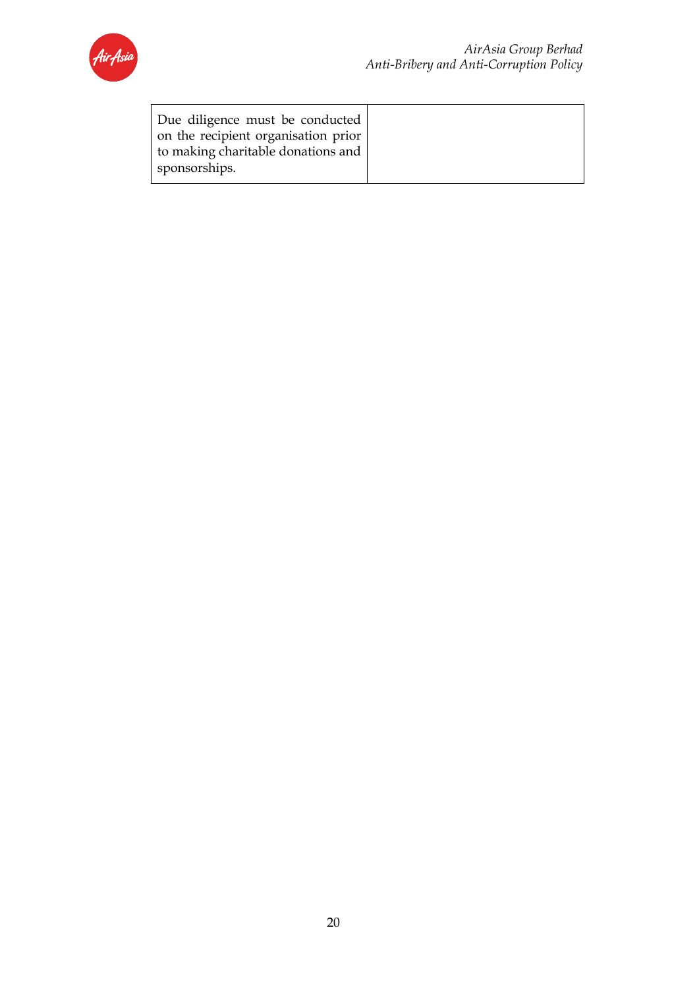

| Due diligence must be conducted     |  |
|-------------------------------------|--|
| on the recipient organisation prior |  |
| to making charitable donations and  |  |
| sponsorships.                       |  |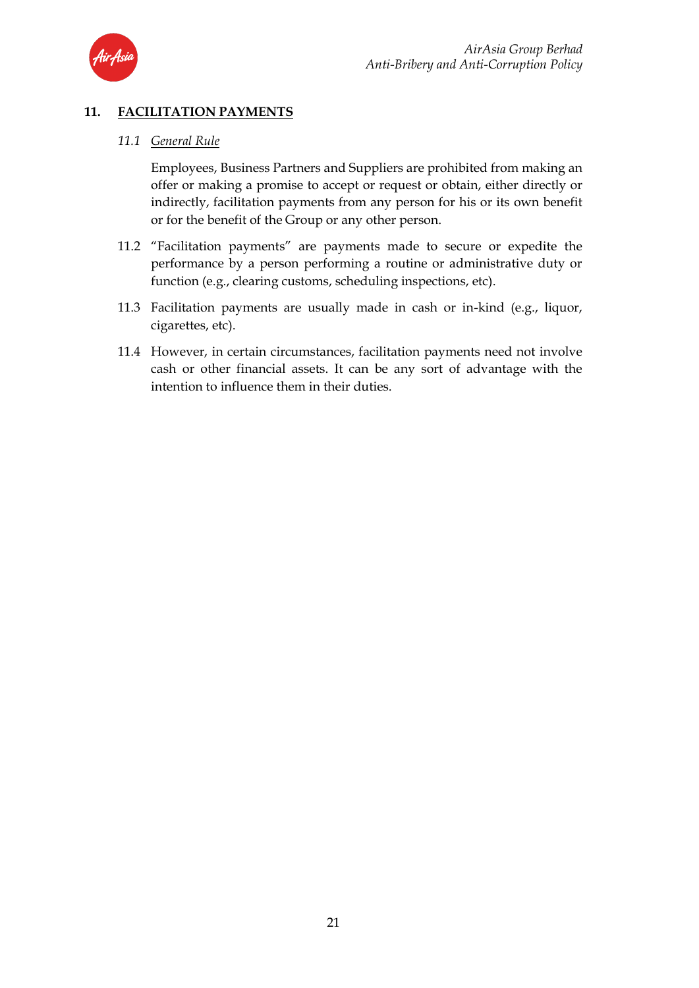

# **11. FACILITATION PAYMENTS**

### *11.1 General Rule*

Employees, Business Partners and Suppliers are prohibited from making an offer or making a promise to accept or request or obtain, either directly or indirectly, facilitation payments from any person for his or its own benefit or for the benefit of the Group or any other person.

- 11.2 "Facilitation payments" are payments made to secure or expedite the performance by a person performing a routine or administrative duty or function (e.g., clearing customs, scheduling inspections, etc).
- 11.3 Facilitation payments are usually made in cash or in-kind (e.g., liquor, cigarettes, etc).
- 11.4 However, in certain circumstances, facilitation payments need not involve cash or other financial assets. It can be any sort of advantage with the intention to influence them in their duties.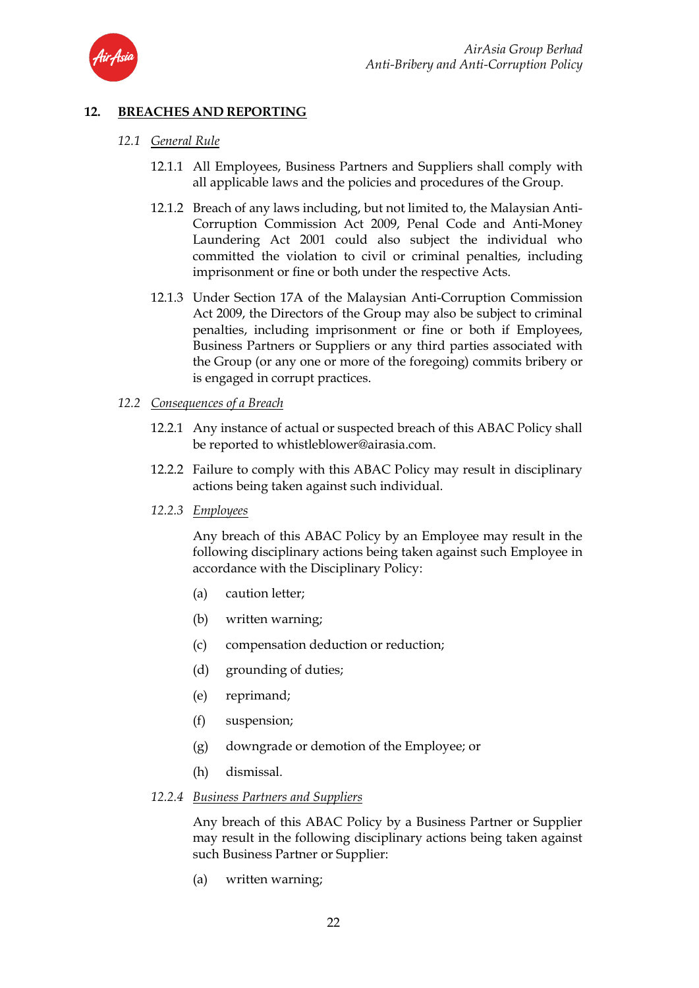

### **12. BREACHES AND REPORTING**

### *12.1 General Rule*

- 12.1.1 All Employees, Business Partners and Suppliers shall comply with all applicable laws and the policies and procedures of the Group.
- 12.1.2 Breach of any laws including, but not limited to, the Malaysian Anti-Corruption Commission Act 2009, Penal Code and Anti-Money Laundering Act 2001 could also subject the individual who committed the violation to civil or criminal penalties, including imprisonment or fine or both under the respective Acts.
- 12.1.3 Under Section 17A of the Malaysian Anti-Corruption Commission Act 2009, the Directors of the Group may also be subject to criminal penalties, including imprisonment or fine or both if Employees, Business Partners or Suppliers or any third parties associated with the Group (or any one or more of the foregoing) commits bribery or is engaged in corrupt practices.

#### *12.2 Consequences of a Breach*

- 12.2.1 Any instance of actual or suspected breach of this ABAC Policy shall be reported to whistleblower@airasia.com.
- 12.2.2 Failure to comply with this ABAC Policy may result in disciplinary actions being taken against such individual.
- *12.2.3 Employees*

Any breach of this ABAC Policy by an Employee may result in the following disciplinary actions being taken against such Employee in accordance with the Disciplinary Policy:

- (a) caution letter;
- (b) written warning;
- (c) compensation deduction or reduction;
- (d) grounding of duties;
- (e) reprimand;
- (f) suspension;
- (g) downgrade or demotion of the Employee; or
- (h) dismissal.

#### *12.2.4 Business Partners and Suppliers*

Any breach of this ABAC Policy by a Business Partner or Supplier may result in the following disciplinary actions being taken against such Business Partner or Supplier:

(a) written warning;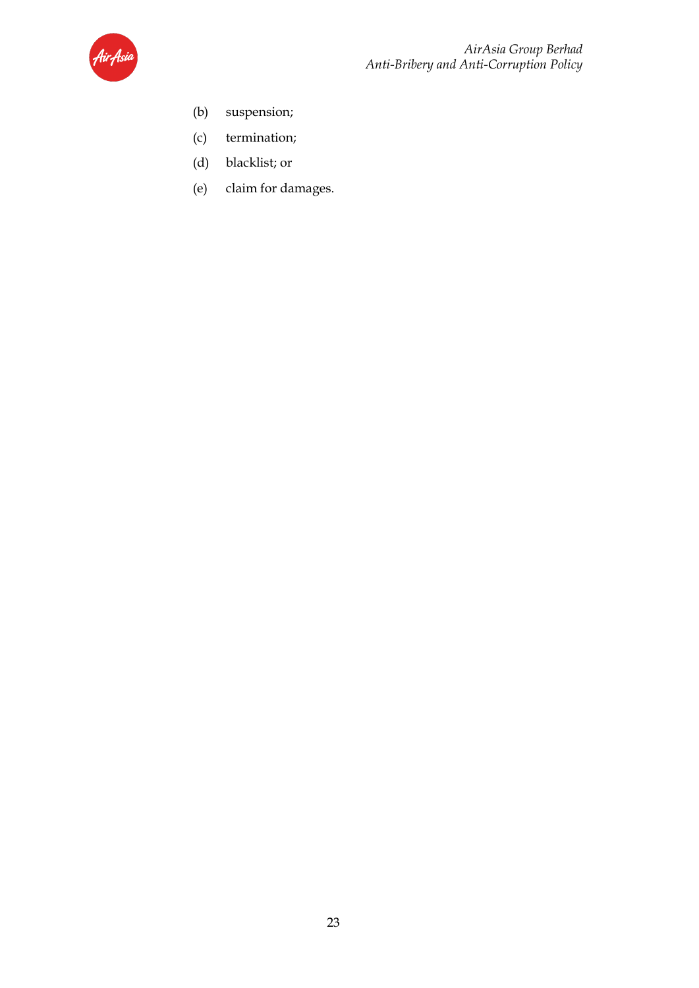

- (b) suspension;
- (c) termination;
- (d) blacklist; or
- (e) claim for damages.